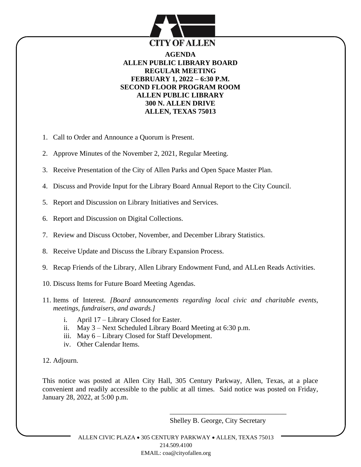

**AGENDA ALLEN PUBLIC LIBRARY BOARD REGULAR MEETING FEBRUARY 1, 2022 – 6:30 P.M. SECOND FLOOR PROGRAM ROOM ALLEN PUBLIC LIBRARY 300 N. ALLEN DRIVE ALLEN, TEXAS 75013**

- 1. Call to Order and Announce a Quorum is Present.
- 2. Approve Minutes of the November 2, 2021, Regular Meeting.
- 3. Receive Presentation of the City of Allen Parks and Open Space Master Plan.
- 4. Discuss and Provide Input for the Library Board Annual Report to the City Council.
- 5. Report and Discussion on Library Initiatives and Services.
- 6. Report and Discussion on Digital Collections.
- 7. Review and Discuss October, November, and December Library Statistics.
- 8. Receive Update and Discuss the Library Expansion Process.
- 9. Recap Friends of the Library, Allen Library Endowment Fund, and ALLen Reads Activities.
- 10. Discuss Items for Future Board Meeting Agendas.
- 11. Items of Interest. *[Board announcements regarding local civic and charitable events, meetings, fundraisers, and awards.]*
	- i. April 17 Library Closed for Easter.
	- ii. May 3 Next Scheduled Library Board Meeting at 6:30 p.m.
	- iii. May 6 Library Closed for Staff Development.
	- iv. Other Calendar Items.
- 12. Adjourn.

This notice was posted at Allen City Hall, 305 Century Parkway, Allen, Texas, at a place convenient and readily accessible to the public at all times. Said notice was posted on Friday, January 28, 2022, at 5:00 p.m.

Shelley B. George, City Secretary

\_\_\_\_\_\_\_\_\_\_\_\_\_\_\_\_\_\_\_\_\_\_\_\_\_\_\_\_\_\_\_\_\_

ALLEN CIVIC PLAZA • 305 CENTURY PARKWAY • ALLEN, TEXAS 75013 214.509.4100 EMAIL: coa@cityofallen.org